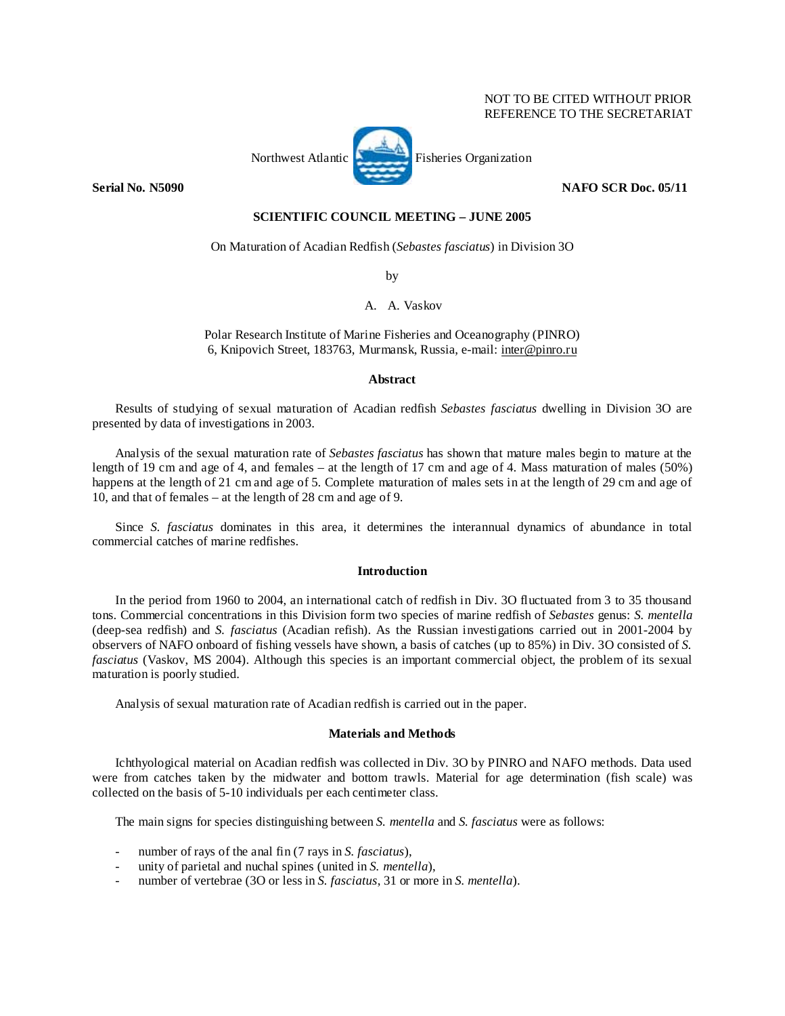# NOT TO BE CITED WITHOUT PRIOR REFERENCE TO THE SECRETARIAT



## **SCIENTIFIC COUNCIL MEETING – JUNE 2005**

On Maturation of Acadian Redfish (*Sebastes fasciatus*) in Division 3O

by

A. A. Vaskov

Polar Research Institute of Marine Fisheries and Oceanography (PINRO) 6, Knipovich Street, 183763, Murmansk, Russia, e-mail: inter@pinro.ru

#### **Abstract**

Results of studying of sexual maturation of Acadian redfish *Sebastes fasciatus* dwelling in Division 3O are presented by data of investigations in 2003.

Analysis of the sexual maturation rate of *Sebastes fasciatus* has shown that mature males begin to mature at the length of 19 cm and age of 4, and females – at the length of 17 cm and age of 4. Mass maturation of males (50%) happens at the length of 21 cm and age of 5. Complete maturation of males sets in at the length of 29 cm and age of 10, and that of females – at the length of 28 cm and age of 9.

Since *S. fasciatus* dominates in this area, it determines the interannual dynamics of abundance in total commercial catches of marine redfishes.

## **Introduction**

In the period from 1960 to 2004, an international catch of redfish in Div. 3O fluctuated from 3 to 35 thousand tons. Commercial concentrations in this Division form two species of marine redfish of *Sebastes* genus: *S. mentella* (deep-sea redfish) and *S. fasciatus* (Acadian refish). As the Russian investigations carried out in 2001-2004 by observers of NAFO onboard of fishing vessels have shown, a basis of catches (up to 85%) in Div. 3O consisted of *S. fasciatus* (Vaskov, MS 2004). Although this species is an important commercial object, the problem of its sexual maturation is poorly studied.

Analysis of sexual maturation rate of Acadian redfish is carried out in the paper.

## **Materials and Methods**

Ichthyological material on Acadian redfish was collected in Div. 3O by PINRO and NAFO methods. Data used were from catches taken by the midwater and bottom trawls. Material for age determination (fish scale) was collected on the basis of 5-10 individuals per each centimeter class.

The main signs for species distinguishing between *S. mentella* and *S. fasciatus* were as follows:

- number of rays of the anal fin (7 rays in *S. fasciatus*),
- unity of parietal and nuchal spines (united in *S. mentella*),
- number of vertebrae (30 or less in *S. fasciatus*, 31 or more in *S. mentella*).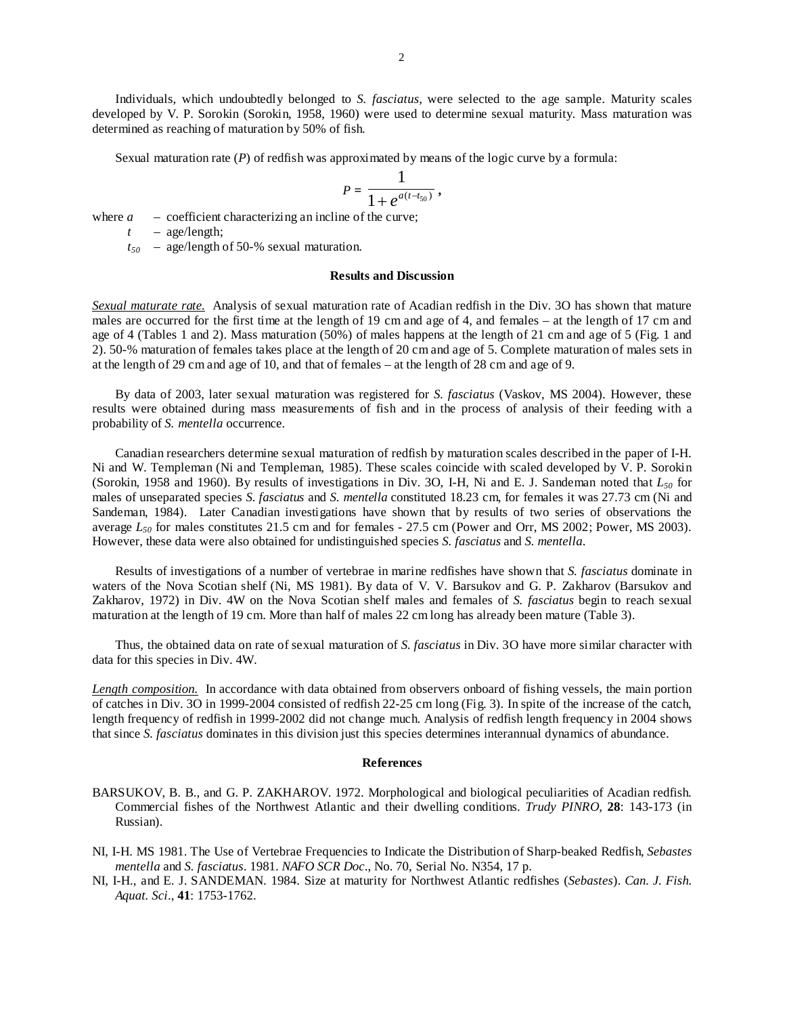Individuals, which undoubtedly belonged to *S. fasciatus*, were selected to the age sample. Maturity scales developed by V. P. Sorokin (Sorokin, 1958, 1960) were used to determine sexual maturity. Mass maturation was determined as reaching of maturation by 50% of fish.

Sexual maturation rate (*P*) of redfish was approximated by means of the logic curve by a formula:

$$
P=\frac{1}{1+e^{a(t-t_{50})}},
$$

where  $a -$  coefficient characterizing an incline of the curve;

*t* – age/length;

*t50* – age/length of 50-% sexual maturation.

#### **Results and Discussion**

*Sexual maturate rate.* Analysis of sexual maturation rate of Acadian redfish in the Div. 3O has shown that mature males are occurred for the first time at the length of 19 cm and age of 4, and females – at the length of 17 cm and age of 4 (Tables 1 and 2). Mass maturation (50%) of males happens at the length of 21 cm and age of 5 (Fig. 1 and 2). 50-% maturation of females takes place at the length of 20 cm and age of 5. Complete maturation of males sets in at the length of 29 cm and age of 10, and that of females – at the length of 28 cm and age of 9.

By data of 2003, later sexual maturation was registered for *S. fasciatus* (Vaskov, MS 2004). However, these results were obtained during mass measurements of fish and in the process of analysis of their feeding with a probability of *S. mentella* occurrence.

Canadian researchers determine sexual maturation of redfish by maturation scales described in the paper of I-H. Ni and W. Templeman (Ni and Templeman, 1985). These scales coincide with scaled developed by V. P. Sorokin (Sorokin, 1958 and 1960). By results of investigations in Div. 3O, I-H, Ni and E. J. Sandeman noted that *L50* for males of unseparated species *S. fasciatus* and *S. mentella* constituted 18.23 cm, for females it was 27.73 cm (Ni and Sandeman, 1984). Later Canadian investigations have shown that by results of two series of observations the average  $L_{50}$  for males constitutes 21.5 cm and for females - 27.5 cm (Power and Orr, MS 2002; Power, MS 2003). However, these data were also obtained for undistinguished species *S. fasciatus* and *S. mentella*.

Results of investigations of a number of vertebrae in marine redfishes have shown that *S. fasciatus* dominate in waters of the Nova Scotian shelf (Ni, MS 1981). By data of V. V. Barsukov and G. P. Zakharov (Barsukov and Zakharov, 1972) in Div. 4W on the Nova Scotian shelf males and females of *S. fasciatus* begin to reach sexual maturation at the length of 19 cm. More than half of males 22 cm long has already been mature (Table 3).

Thus, the obtained data on rate of sexual maturation of *S. fasciatus* in Div. 3O have more similar character with data for this species in Div. 4W.

*Length composition.* In accordance with data obtained from observers onboard of fishing vessels, the main portion of catches in Div. 3O in 1999-2004 consisted of redfish 22-25 cm long (Fig. 3). In spite of the increase of the catch, length frequency of redfish in 1999-2002 did not change much. Analysis of redfish length frequency in 2004 shows that since *S. fasciatus* dominates in this division just this species determines interannual dynamics of abundance.

#### **References**

- BARSUKOV, B. B., and G. P. ZAKHAROV. 1972. Morphological and biological peculiarities of Acadian redfish. Commercial fishes of the Northwest Atlantic and their dwelling conditions. *Trudy PINRO*, **28**: 143-173 (in Russian).
- NI, I-H. MS 1981. The Use of Vertebrae Frequencies to Indicate the Distribution of Sharp-beaked Redfish, *Sebastes mentella* and *S. fasciatus*. 1981. *NAFO SCR Doc*., No. 70, Serial No. N354, 17 p.
- NI, I-H., and E. J. SANDEMAN. 1984. Size at maturity for Northwest Atlantic redfishes (*Sebastes*). *Can. J. Fish. Aquat. Sci*., **41**: 1753-1762.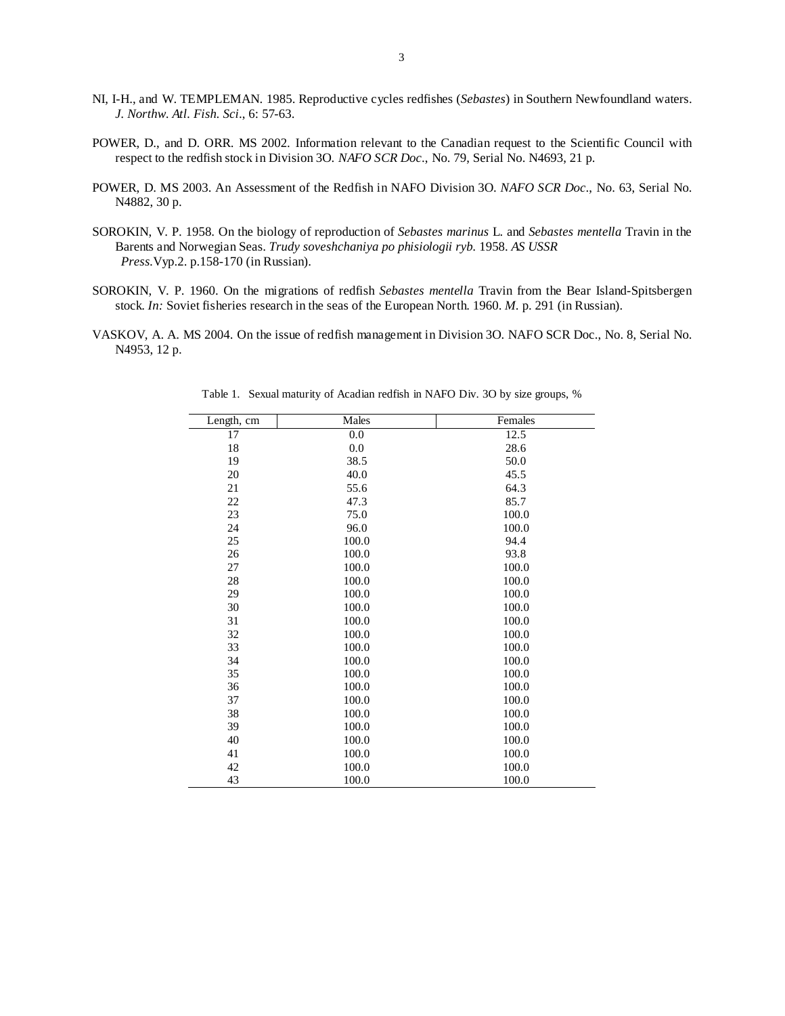- NI, I-H., and W. TEMPLEMAN. 1985. Reproductive cycles redfishes (*Sebastes*) in Southern Newfoundland waters. *J. Northw. Atl. Fish. Sci*., 6: 57-63.
- POWER, D., and D. ORR. MS 2002. Information relevant to the Canadian request to the Scientific Council with respect to the redfish stock in Division 3O. *NAFO SCR Doc*., No. 79, Serial No. N4693, 21 p.
- POWER, D. MS 2003. An Assessment of the Redfish in NAFO Division 3O. *NAFO SCR Doc*., No. 63, Serial No. N4882, 30 p.
- SOROKIN, V. P. 1958. On the biology of reproduction of *Sebastes marinus* L. and *Sebastes mentella* Travin in the Barents and Norwegian Seas. *Trudy soveshchaniya po phisiologii ryb.* 1958. *AS USSR Press.*Vyp.2. p.158-170 (in Russian).
- SOROKIN, V. P. 1960. On the migrations of redfish *Sebastes mentella* Travin from the Bear Island-Spitsbergen stock. *In:* Soviet fisheries research in the seas of the European North. 1960. *M.* p. 291 (in Russian).
- VASKOV, A. A. MS 2004. On the issue of redfish management in Division 3O. NAFO SCR Doc., No. 8, Serial No. N4953, 12 p.

| Length, cm | Males | Females |  |
|------------|-------|---------|--|
| 17         | 0.0   | 12.5    |  |
| 18         | 0.0   | 28.6    |  |
| 19         | 38.5  | 50.0    |  |
| 20         | 40.0  | 45.5    |  |
| 21         | 55.6  | 64.3    |  |
| 22         | 47.3  | 85.7    |  |
| 23         | 75.0  | 100.0   |  |
| 24         | 96.0  | 100.0   |  |
| 25         | 100.0 | 94.4    |  |
| 26         | 100.0 | 93.8    |  |
| 27         | 100.0 | 100.0   |  |
| 28         | 100.0 | 100.0   |  |
| 29         | 100.0 | 100.0   |  |
| 30         | 100.0 | 100.0   |  |
| 31         | 100.0 | 100.0   |  |
| 32         | 100.0 | 100.0   |  |
| 33         | 100.0 | 100.0   |  |
| 34         | 100.0 | 100.0   |  |
| 35         | 100.0 | 100.0   |  |
| 36         | 100.0 | 100.0   |  |
| 37         | 100.0 | 100.0   |  |
| 38         | 100.0 | 100.0   |  |
| 39         | 100.0 | 100.0   |  |
| 40         | 100.0 | 100.0   |  |
| 41         | 100.0 | 100.0   |  |
| 42         | 100.0 | 100.0   |  |
| 43         | 100.0 | 100.0   |  |

Table 1. Sexual maturity of Acadian redfish in NAFO Div. 3O by size groups, %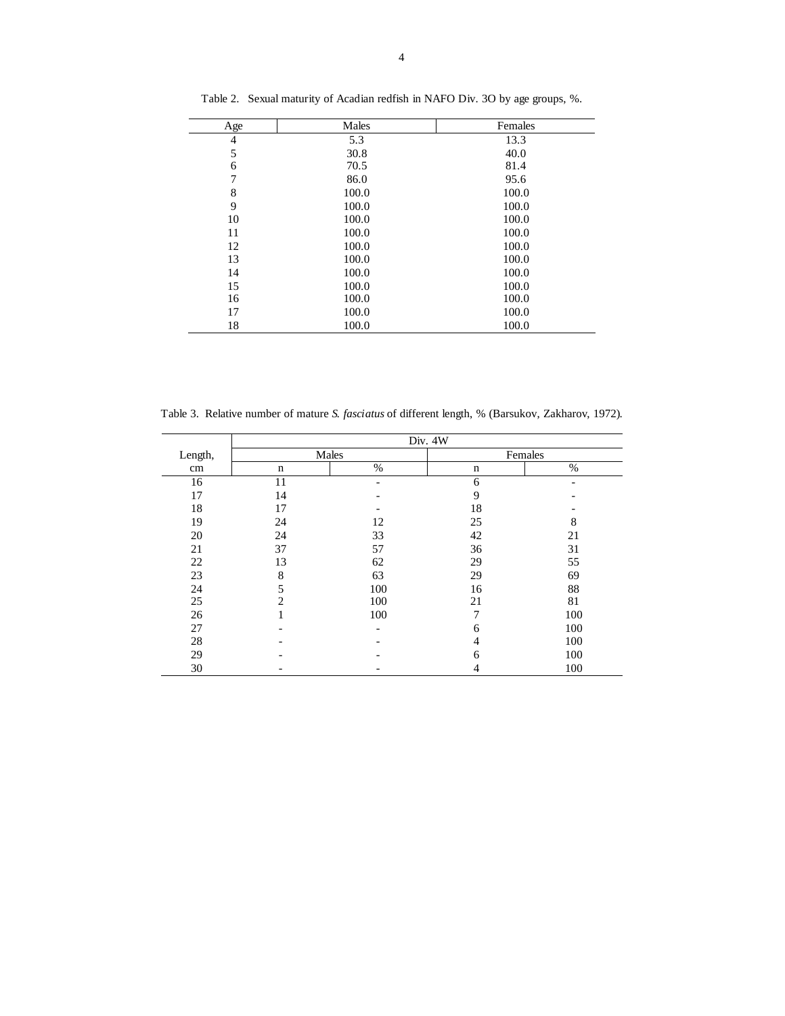| Age            | Males | Females |  |
|----------------|-------|---------|--|
| $\overline{4}$ | 5.3   | 13.3    |  |
| 5              | 30.8  | 40.0    |  |
| 6              | 70.5  | 81.4    |  |
| 7              | 86.0  | 95.6    |  |
| 8              | 100.0 | 100.0   |  |
| 9              | 100.0 | 100.0   |  |
| 10             | 100.0 | 100.0   |  |
| 11             | 100.0 | 100.0   |  |
| 12             | 100.0 | 100.0   |  |
| 13             | 100.0 | 100.0   |  |
| 14             | 100.0 | 100.0   |  |
| 15             | 100.0 | 100.0   |  |
| 16             | 100.0 | 100.0   |  |
| 17             | 100.0 | 100.0   |  |
| 18             | 100.0 | 100.0   |  |

Table 2. Sexual maturity of Acadian redfish in NAFO Div. 3O by age groups, %.

Table 3. Relative number of mature *S. fasciatus* of different length, % (Barsukov, Zakharov, 1972).

|         | Div. 4W        |                          |         |     |  |
|---------|----------------|--------------------------|---------|-----|--|
| Length, | Males          |                          | Females |     |  |
| cm      | $\mathbf n$    | $\%$                     | n       | %   |  |
| 16      | 11             |                          | 6       |     |  |
| 17      | 14             |                          | 9       |     |  |
| 18      | 17             |                          | 18      |     |  |
| 19      | 24             | 12                       | 25      | 8   |  |
| 20      | 24             | 33                       | 42      | 21  |  |
| 21      | 37             | 57                       | 36      | 31  |  |
| 22      | 13             | 62                       | 29      | 55  |  |
| 23      | 8              | 63                       | 29      | 69  |  |
| 24      | 5              | 100                      | 16      | 88  |  |
| 25      | $\overline{c}$ | 100                      | 21      | 81  |  |
| 26      |                | 100                      | 7       | 100 |  |
| 27      |                | $\overline{\phantom{a}}$ | 6       | 100 |  |
| 28      |                |                          | 4       | 100 |  |
| 29      |                |                          | 6       | 100 |  |
| 30      |                |                          | 4       | 100 |  |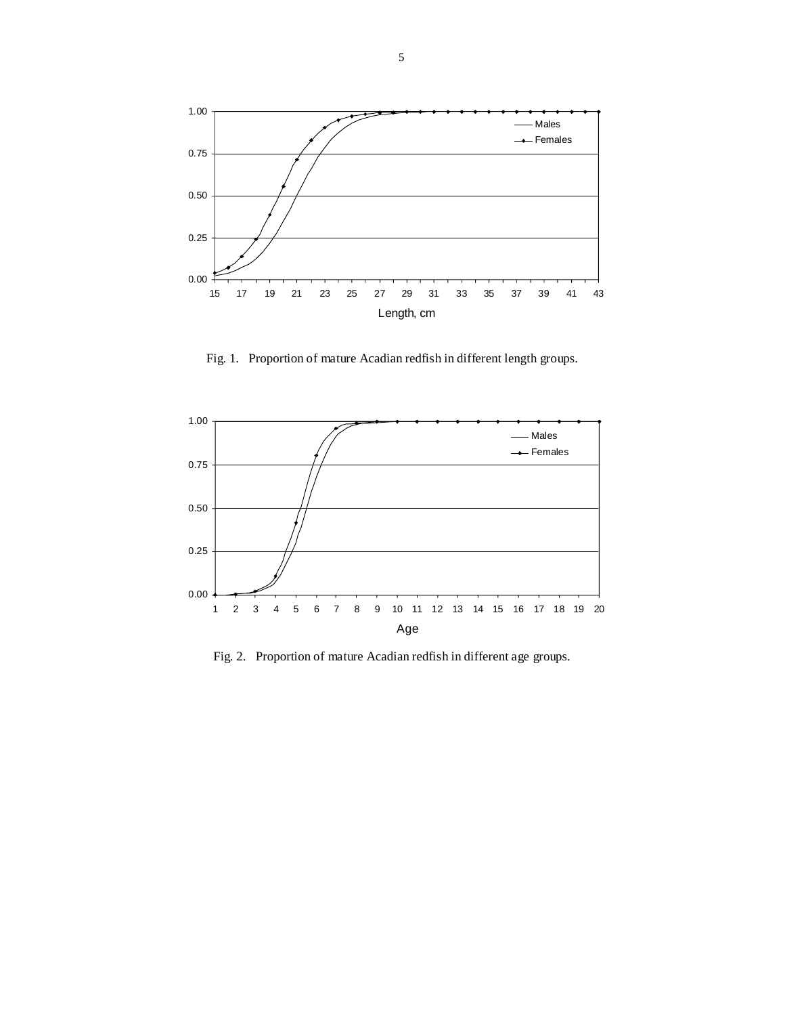

Fig. 1. Proportion of mature Acadian redfish in different length groups.



Fig. 2. Proportion of mature Acadian redfish in different age groups.